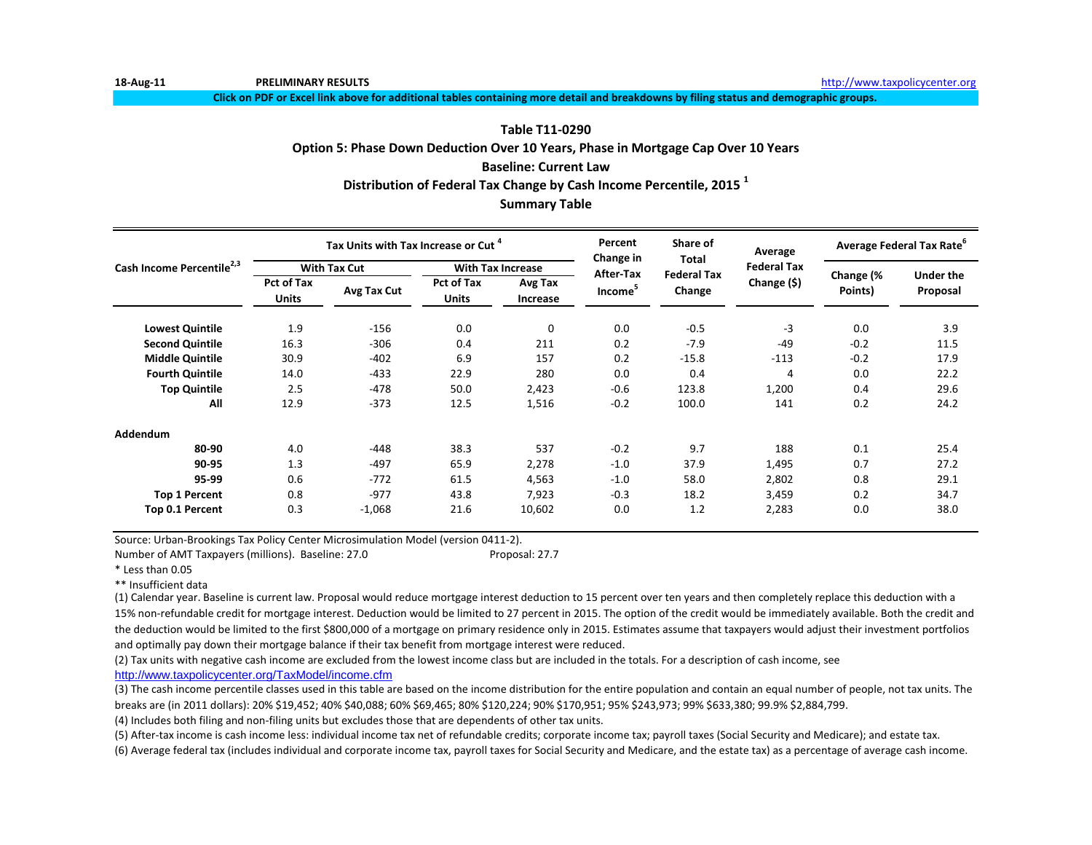**Click on PDF or Excel link above for additional tables containing more detail and breakdowns by filing status and demographic groups.**

#### **Table T11-0290**

#### **Option 5: Phase Down Deduction Over 10 Years, Phase in Mortgage Cap Over 10 Years**

#### **Baseline: Current Law**

**Distribution of Federal Tax Change by Cash Income Percentile, 2015 <sup>1</sup>**

### **Summary Table**

|                                       |                                   | Tax Units with Tax Increase or Cut <sup>4</sup> |                            |                          | Percent<br>Change in | Share of                     | Average            |                      | <b>Average Federal Tax Rate</b> |
|---------------------------------------|-----------------------------------|-------------------------------------------------|----------------------------|--------------------------|----------------------|------------------------------|--------------------|----------------------|---------------------------------|
| Cash Income Percentile <sup>2,3</sup> |                                   | <b>With Tax Cut</b>                             |                            | <b>With Tax Increase</b> | After-Tax            | Total                        | <b>Federal Tax</b> |                      |                                 |
|                                       | <b>Pct of Tax</b><br><b>Units</b> | Avg Tax Cut                                     | Pct of Tax<br><b>Units</b> | Avg Tax<br>Increase      | Income <sup>5</sup>  | <b>Federal Tax</b><br>Change | Change (\$)        | Change (%<br>Points) | <b>Under the</b><br>Proposal    |
| <b>Lowest Quintile</b>                | 1.9                               | $-156$                                          | 0.0                        | 0                        | 0.0                  | $-0.5$                       | $-3$               | 0.0                  | 3.9                             |
| <b>Second Quintile</b>                | 16.3                              | $-306$                                          | 0.4                        | 211                      | 0.2                  | $-7.9$                       | $-49$              | $-0.2$               | 11.5                            |
| <b>Middle Quintile</b>                | 30.9                              | $-402$                                          | 6.9                        | 157                      | 0.2                  | $-15.8$                      | $-113$             | $-0.2$               | 17.9                            |
| <b>Fourth Quintile</b>                | 14.0                              | $-433$                                          | 22.9                       | 280                      | 0.0                  | 0.4                          | 4                  | 0.0                  | 22.2                            |
| <b>Top Quintile</b>                   | 2.5                               | $-478$                                          | 50.0                       | 2,423                    | $-0.6$               | 123.8                        | 1,200              | 0.4                  | 29.6                            |
| All                                   | 12.9                              | $-373$                                          | 12.5                       | 1,516                    | $-0.2$               | 100.0                        | 141                | 0.2                  | 24.2                            |
| Addendum                              |                                   |                                                 |                            |                          |                      |                              |                    |                      |                                 |
| 80-90                                 | 4.0                               | -448                                            | 38.3                       | 537                      | $-0.2$               | 9.7                          | 188                | 0.1                  | 25.4                            |
| 90-95                                 | 1.3                               | -497                                            | 65.9                       | 2,278                    | $-1.0$               | 37.9                         | 1,495              | 0.7                  | 27.2                            |
| 95-99                                 | 0.6                               | $-772$                                          | 61.5                       | 4,563                    | $-1.0$               | 58.0                         | 2,802              | 0.8                  | 29.1                            |
| <b>Top 1 Percent</b>                  | 0.8                               | $-977$                                          | 43.8                       | 7,923                    | $-0.3$               | 18.2                         | 3,459              | 0.2                  | 34.7                            |
| Top 0.1 Percent                       | 0.3                               | $-1,068$                                        | 21.6                       | 10,602                   | 0.0                  | 1.2                          | 2,283              | 0.0                  | 38.0                            |

Source: Urban-Brookings Tax Policy Center Microsimulation Model (version 0411-2).

Number of AMT Taxpayers (millions). Baseline: 27.0 Proposal: 27.7

\* Less than 0.05

\*\* Insufficient data

(1) Calendar year. Baseline is current law. Proposal would reduce mortgage interest deduction to 15 percent over ten years and then completely replace this deduction with a 15% non-refundable credit for mortgage interest. Deduction would be limited to 27 percent in 2015. The option of the credit would be immediately available. Both the credit and the deduction would be limited to the first \$800,000 of a mortgage on primary residence only in 2015. Estimates assume that taxpayers would adjust their investment portfolios and optimally pay down their mortgage balance if their tax benefit from mortgage interest were reduced.

(2) Tax units with negative cash income are excluded from the lowest income class but are included in the totals. For a description of cash income, see [http://www.taxpolicycente](http://www.taxpolicycenter.org/TaxModel/income.cfm)r.org/TaxModel/income.cfm

(3) The cash income percentile classes used in this table are based on the income distribution for the entire population and contain an equal number of people, not tax units. The breaks are (in 2011 dollars): 20% \$19,452; 40% \$40,088; 60% \$69,465; 80% \$120,224; 90% \$170,951; 95% \$243,973; 99% \$633,380; 99.9% \$2,884,799.

(4) Includes both filing and non-filing units but excludes those that are dependents of other tax units.

(5) After-tax income is cash income less: individual income tax net of refundable credits; corporate income tax; payroll taxes (Social Security and Medicare); and estate tax.

(6) Average federal tax (includes individual and corporate income tax, payroll taxes for Social Security and Medicare, and the estate tax) as a percentage of average cash income.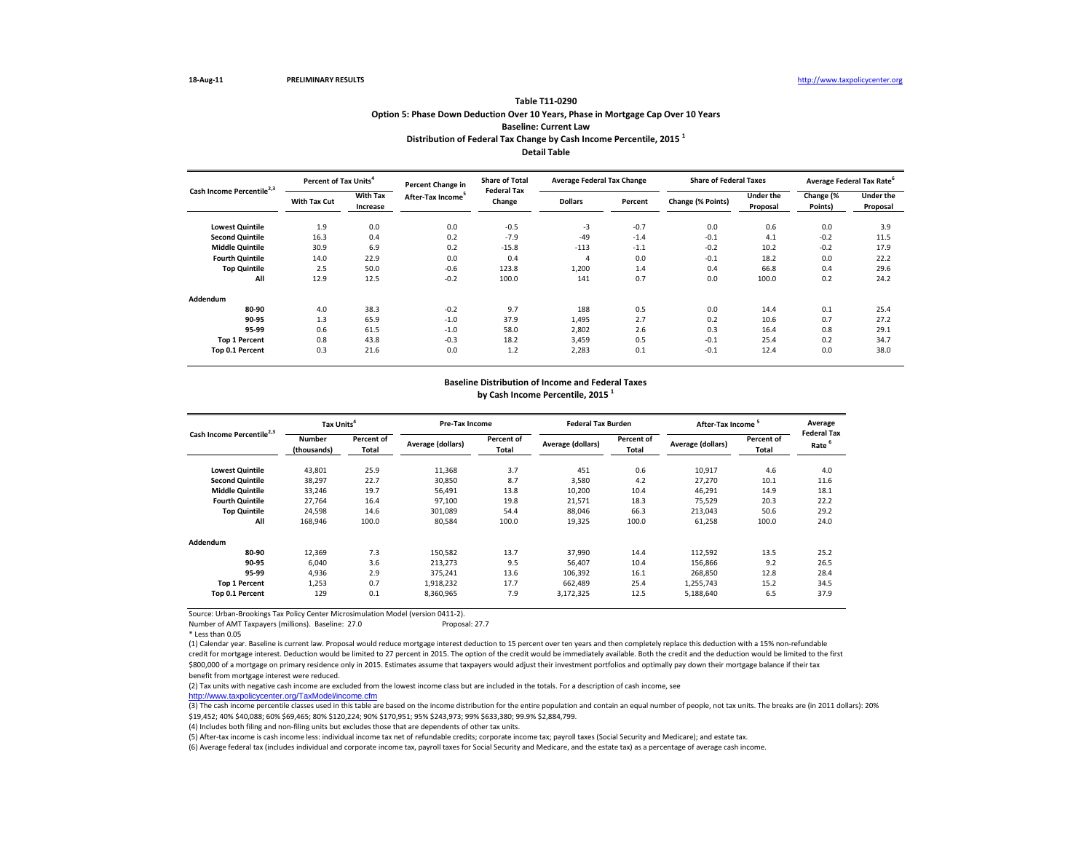Number of AMT Taxpayers (millions). Baseline: 27.0 Proposal: 27.7

\* Less than 0.05

(5) After-tax income is cash income less: individual income tax net of refundable credits; corporate income tax; payroll taxes (Social Security and Medicare); and estate tax. (6) Average federal tax (includes individual and corporate income tax, payroll taxes for Social Security and Medicare, and the estate tax) as a percentage of average cash income.

|                                       | Percent of Tax Units <sup>4</sup> |                             | <b>Percent Change in</b>      | <b>Share of Total</b>        | <b>Average Federal Tax Change</b> |         | <b>Share of Federal Taxes</b> |                              | Average Federal Tax Rate <sup>6</sup> |                              |
|---------------------------------------|-----------------------------------|-----------------------------|-------------------------------|------------------------------|-----------------------------------|---------|-------------------------------|------------------------------|---------------------------------------|------------------------------|
| Cash Income Percentile <sup>2,3</sup> | <b>With Tax Cut</b>               | <b>With Tax</b><br>Increase | After-Tax Income <sup>5</sup> | <b>Federal Tax</b><br>Change | <b>Dollars</b>                    | Percent | Change (% Points)             | <b>Under the</b><br>Proposal | Change (%<br>Points)                  | <b>Under the</b><br>Proposal |
| <b>Lowest Quintile</b>                | 1.9                               | 0.0                         | 0.0                           | $-0.5$                       | $-3$                              | $-0.7$  | 0.0                           | 0.6                          | 0.0                                   | 3.9                          |
| <b>Second Quintile</b>                | 16.3                              | 0.4                         | 0.2                           | $-7.9$                       | $-49$                             | $-1.4$  | $-0.1$                        | 4.1                          | $-0.2$                                | 11.5                         |
| <b>Middle Quintile</b>                | 30.9                              | 6.9                         | 0.2                           | $-15.8$                      | $-113$                            | $-1.1$  | $-0.2$                        | 10.2                         | $-0.2$                                | 17.9                         |
| <b>Fourth Quintile</b>                | 14.0                              | 22.9                        | 0.0                           | 0.4                          | 4                                 | 0.0     | $-0.1$                        | 18.2                         | 0.0                                   | 22.2                         |
| <b>Top Quintile</b>                   | 2.5                               | 50.0                        | $-0.6$                        | 123.8                        | 1,200                             | 1.4     | 0.4                           | 66.8                         | 0.4                                   | 29.6                         |
| All                                   | 12.9                              | 12.5                        | $-0.2$                        | 100.0                        | 141                               | 0.7     | 0.0                           | 100.0                        | 0.2                                   | 24.2                         |
| Addendum                              |                                   |                             |                               |                              |                                   |         |                               |                              |                                       |                              |
| 80-90                                 | 4.0                               | 38.3                        | $-0.2$                        | 9.7                          | 188                               | 0.5     | 0.0                           | 14.4                         | 0.1                                   | 25.4                         |
| 90-95                                 | 1.3                               | 65.9                        | $-1.0$                        | 37.9                         | 1,495                             | 2.7     | 0.2                           | 10.6                         | 0.7                                   | 27.2                         |
| 95-99                                 | 0.6                               | 61.5                        | $-1.0$                        | 58.0                         | 2,802                             | 2.6     | 0.3                           | 16.4                         | 0.8                                   | 29.1                         |
| <b>Top 1 Percent</b>                  | 0.8                               | 43.8                        | $-0.3$                        | 18.2                         | 3,459                             | 0.5     | $-0.1$                        | 25.4                         | 0.2                                   | 34.7                         |
| Top 0.1 Percent                       | 0.3                               | 21.6                        | 0.0                           | 1.2                          | 2,283                             | 0.1     | $-0.1$                        | 12.4                         | 0.0                                   | 38.0                         |

| Cash Income Percentile <sup>2,3</sup> | Tax Units <sup>4</sup>       |                            | <b>Pre-Tax Income</b>    |                            | <b>Federal Tax Burden</b> |                            | After-Tax Income  | Average                    |                                         |
|---------------------------------------|------------------------------|----------------------------|--------------------------|----------------------------|---------------------------|----------------------------|-------------------|----------------------------|-----------------------------------------|
|                                       | <b>Number</b><br>(thousands) | Percent of<br><b>Total</b> | <b>Average (dollars)</b> | <b>Percent of</b><br>Total | Average (dollars)         | Percent of<br><b>Total</b> | Average (dollars) | Percent of<br><b>Total</b> | <b>Federal Tax</b><br>Rate <sup>6</sup> |
| <b>Lowest Quintile</b>                | 43,801                       | 25.9                       | 11,368                   | 3.7                        | 451                       | 0.6                        | 10,917            | 4.6                        | 4.0                                     |
| <b>Second Quintile</b>                | 38,297                       | 22.7                       | 30,850                   | 8.7                        | 3,580                     | 4.2                        | 27,270            | 10.1                       | 11.6                                    |
| <b>Middle Quintile</b>                | 33,246                       | 19.7                       | 56,491                   | 13.8                       | 10,200                    | 10.4                       | 46,291            | 14.9                       | 18.1                                    |
| <b>Fourth Quintile</b>                | 27,764                       | 16.4                       | 97,100                   | 19.8                       | 21,571                    | 18.3                       | 75,529            | 20.3                       | 22.2                                    |
| <b>Top Quintile</b>                   | 24,598                       | 14.6                       | 301,089                  | 54.4                       | 88,046                    | 66.3                       | 213,043           | 50.6                       | 29.2                                    |
| All                                   | 168,946                      | 100.0                      | 80,584                   | 100.0                      | 19,325                    | 100.0                      | 61,258            | 100.0                      | 24.0                                    |
| <b>Addendum</b>                       |                              |                            |                          |                            |                           |                            |                   |                            |                                         |
| 80-90                                 | 12,369                       | 7.3                        | 150,582                  | 13.7                       | 37,990                    | 14.4                       | 112,592           | 13.5                       | 25.2                                    |
| 90-95                                 | 6,040                        | 3.6                        | 213,273                  | 9.5                        | 56,407                    | 10.4                       | 156,866           | 9.2                        | 26.5                                    |
| 95-99                                 | 4,936                        | 2.9                        | 375,241                  | 13.6                       | 106,392                   | 16.1                       | 268,850           | 12.8                       | 28.4                                    |
| <b>Top 1 Percent</b>                  | 1,253                        | 0.7                        | 1,918,232                | 17.7                       | 662,489                   | 25.4                       | 1,255,743         | 15.2                       | 34.5                                    |
| Top 0.1 Percent                       | 129                          | 0.1                        | 8,360,965                | 7.9                        | 3,172,325                 | 12.5                       | 5,188,640         | 6.5                        | 37.9                                    |

(1) Calendar year. Baseline is current law. Proposal would reduce mortgage interest deduction to 15 percent over ten years and then completely replace this deduction with a 15% non-refundable credit for mortgage interest. Deduction would be limited to 27 percent in 2015. The option of the credit would be immediately available. Both the credit and the deduction would be limited to the first \$800,000 of a mortgage on primary residence only in 2015. Estimates assume that taxpayers would adjust their investment portfolios and optimally pay down their mortgage balance if their tax benefit from mortgage interest were reduced.

## **Option 5: Phase Down Deduction Over 10 Years, Phase in Mortgage Cap Over 10 Years Detail Table Table T11-0290 Baseline: Current Law Distribution of Federal Tax Change by Cash Income Percentile, 2015 <sup>1</sup>**

(2) Tax units with negative cash income are excluded from the lowest income class but are included in the totals. For a description of cash income, see [http://www.taxpolicycente](http://www.taxpolicycenter.org/TaxModel/income.cfm)r.org/TaxModel/income.cfm

(3) The cash income percentile classes used in this table are based on the income distribution for the entire population and contain an equal number of people, not tax units. The breaks are (in 2011 dollars): 20% \$19,452; 40% \$40,088; 60% \$69,465; 80% \$120,224; 90% \$170,951; 95% \$243,973; 99% \$633,380; 99.9% \$2,884,799.

(4) Includes both filing and non-filing units but excludes those that are dependents of other tax units.

## **Baseline Distribution of Income and Federal Taxes**

**by Cash Income Percentile, 2015 <sup>1</sup>**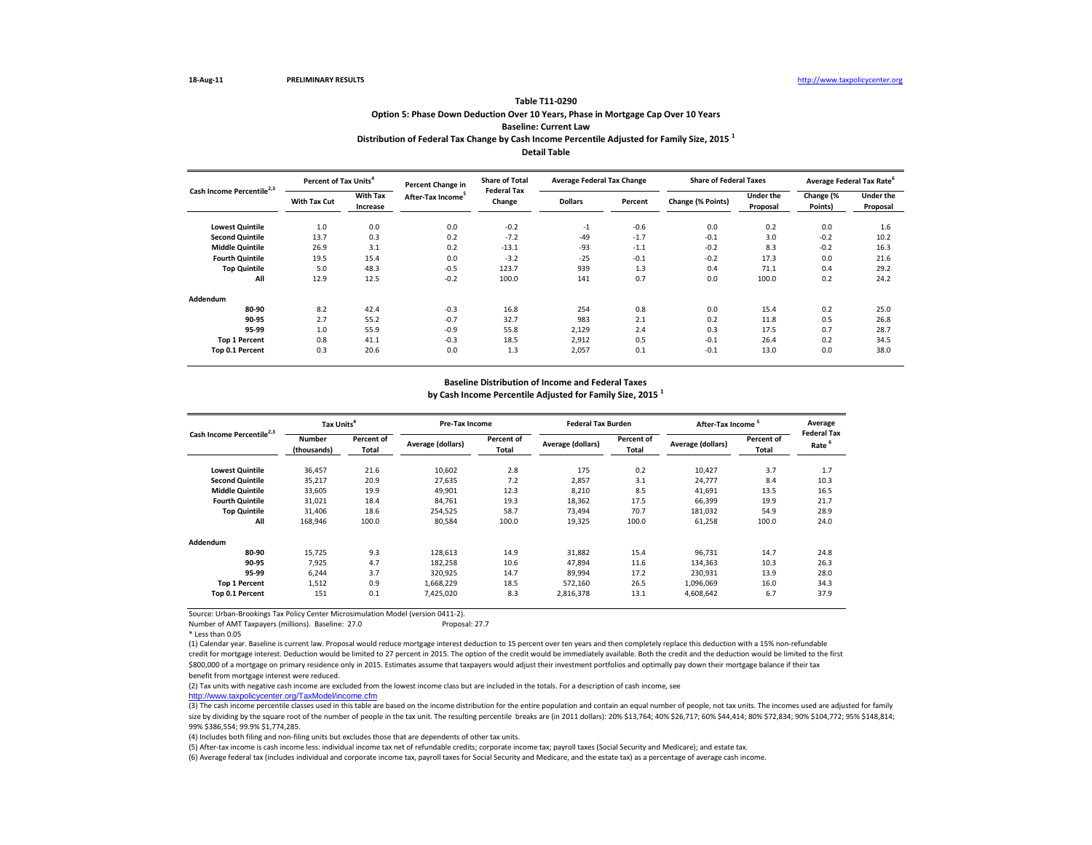Number of AMT Taxpayers (millions). Baseline: 27.0 Proposal: 27.7

\* Less than 0.05

(3) The cash income percentile classes used in this table are based on the income distribution for the entire population and contain an equal number of people, not tax units. The incomes used are adjusted for family size by dividing by the square root of the number of people in the tax unit. The resulting percentile breaks are (in 2011 dollars): 20% \$13,764; 40% \$26,717; 60% \$44,414; 80% \$72,834; 90% \$104,772; 95% \$148,814; 99% \$386,554; 99.9% \$1,774,285.

(5) After-tax income is cash income less: individual income tax net of refundable credits; corporate income tax; payroll taxes (Social Security and Medicare); and estate tax. (6) Average federal tax (includes individual and corporate income tax, payroll taxes for Social Security and Medicare, and the estate tax) as a percentage of average cash income.

|                                       | Percent of Tax Units <sup>4</sup> |                             | <b>Percent Change in</b>      | <b>Share of Total</b>        | <b>Average Federal Tax Change</b> |         | <b>Share of Federal Taxes</b> |                              |                      | Average Federal Tax Rate <sup>6</sup> |
|---------------------------------------|-----------------------------------|-----------------------------|-------------------------------|------------------------------|-----------------------------------|---------|-------------------------------|------------------------------|----------------------|---------------------------------------|
| Cash Income Percentile <sup>2,3</sup> | <b>With Tax Cut</b>               | <b>With Tax</b><br>Increase | After-Tax Income <sup>5</sup> | <b>Federal Tax</b><br>Change | <b>Dollars</b>                    | Percent | Change (% Points)             | <b>Under the</b><br>Proposal | Change (%<br>Points) | <b>Under the</b><br>Proposal          |
| <b>Lowest Quintile</b>                | 1.0                               | 0.0                         | 0.0                           | $-0.2$                       | $-1$                              | $-0.6$  | 0.0                           | 0.2                          | 0.0                  | 1.6                                   |
| <b>Second Quintile</b>                | 13.7                              | 0.3                         | 0.2                           | $-7.2$                       | $-49$                             | $-1.7$  | $-0.1$                        | 3.0                          | $-0.2$               | 10.2                                  |
| <b>Middle Quintile</b>                | 26.9                              | 3.1                         | 0.2                           | $-13.1$                      | $-93$                             | $-1.1$  | $-0.2$                        | 8.3                          | $-0.2$               | 16.3                                  |
| <b>Fourth Quintile</b>                | 19.5                              | 15.4                        | 0.0                           | $-3.2$                       | $-25$                             | $-0.1$  | $-0.2$                        | 17.3                         | 0.0                  | 21.6                                  |
| <b>Top Quintile</b>                   | 5.0                               | 48.3                        | $-0.5$                        | 123.7                        | 939                               | 1.3     | 0.4                           | 71.1                         | 0.4                  | 29.2                                  |
| All                                   | 12.9                              | 12.5                        | $-0.2$                        | 100.0                        | 141                               | 0.7     | 0.0                           | 100.0                        | 0.2                  | 24.2                                  |
| Addendum                              |                                   |                             |                               |                              |                                   |         |                               |                              |                      |                                       |
| 80-90                                 | 8.2                               | 42.4                        | $-0.3$                        | 16.8                         | 254                               | 0.8     | 0.0                           | 15.4                         | 0.2                  | 25.0                                  |
| 90-95                                 | 2.7                               | 55.2                        | $-0.7$                        | 32.7                         | 983                               | 2.1     | 0.2                           | 11.8                         | 0.5                  | 26.8                                  |
| 95-99                                 | 1.0                               | 55.9                        | $-0.9$                        | 55.8                         | 2,129                             | 2.4     | 0.3                           | 17.5                         | 0.7                  | 28.7                                  |
| <b>Top 1 Percent</b>                  | 0.8                               | 41.1                        | $-0.3$                        | 18.5                         | 2,912                             | 0.5     | $-0.1$                        | 26.4                         | 0.2                  | 34.5                                  |
| Top 0.1 Percent                       | 0.3                               | 20.6                        | 0.0                           | 1.3                          | 2,057                             | 0.1     | $-0.1$                        | 13.0                         | 0.0                  | 38.0                                  |

|                                       | Tax Units <sup>4</sup>       |                                   | <b>Pre-Tax Income</b>    |                            | <b>Federal Tax Burden</b> |                            | After-Tax Income <sup>5</sup> |                            | Average                                 |
|---------------------------------------|------------------------------|-----------------------------------|--------------------------|----------------------------|---------------------------|----------------------------|-------------------------------|----------------------------|-----------------------------------------|
| Cash Income Percentile <sup>2,3</sup> | <b>Number</b><br>(thousands) | <b>Percent of</b><br><b>Total</b> | <b>Average (dollars)</b> | Percent of<br><b>Total</b> | Average (dollars)         | Percent of<br><b>Total</b> | Average (dollars)             | <b>Percent of</b><br>Total | <b>Federal Tax</b><br>Rate <sup>6</sup> |
| <b>Lowest Quintile</b>                | 36,457                       | 21.6                              | 10,602                   | 2.8                        | 175                       | 0.2                        | 10,427                        | 3.7                        | 1.7                                     |
| <b>Second Quintile</b>                | 35,217                       | 20.9                              | 27,635                   | 7.2                        | 2,857                     | 3.1                        | 24,777                        | 8.4                        | 10.3                                    |
| <b>Middle Quintile</b>                | 33,605                       | 19.9                              | 49,901                   | 12.3                       | 8,210                     | 8.5                        | 41,691                        | 13.5                       | 16.5                                    |
| <b>Fourth Quintile</b>                | 31,021                       | 18.4                              | 84,761                   | 19.3                       | 18,362                    | 17.5                       | 66,399                        | 19.9                       | 21.7                                    |
| <b>Top Quintile</b>                   | 31,406                       | 18.6                              | 254,525                  | 58.7                       | 73,494                    | 70.7                       | 181,032                       | 54.9                       | 28.9                                    |
| All                                   | 168,946                      | 100.0                             | 80,584                   | 100.0                      | 19,325                    | 100.0                      | 61,258                        | 100.0                      | 24.0                                    |
| Addendum                              |                              |                                   |                          |                            |                           |                            |                               |                            |                                         |
| 80-90                                 | 15,725                       | 9.3                               | 128,613                  | 14.9                       | 31,882                    | 15.4                       | 96,731                        | 14.7                       | 24.8                                    |
| 90-95                                 | 7,925                        | 4.7                               | 182,258                  | 10.6                       | 47,894                    | 11.6                       | 134,363                       | 10.3                       | 26.3                                    |
| 95-99                                 | 6,244                        | 3.7                               | 320,925                  | 14.7                       | 89,994                    | 17.2                       | 230,931                       | 13.9                       | 28.0                                    |
| <b>Top 1 Percent</b>                  | 1,512                        | 0.9                               | 1,668,229                | 18.5                       | 572,160                   | 26.5                       | 1,096,069                     | 16.0                       | 34.3                                    |
| Top 0.1 Percent                       | 151                          | 0.1                               | 7,425,020                | 8.3                        | 2,816,378                 | 13.1                       | 4,608,642                     | 6.7                        | 37.9                                    |

(1) Calendar year. Baseline is current law. Proposal would reduce mortgage interest deduction to 15 percent over ten years and then completely replace this deduction with a 15% non-refundable credit for mortgage interest. Deduction would be limited to 27 percent in 2015. The option of the credit would be immediately available. Both the credit and the deduction would be limited to the first \$800,000 of a mortgage on primary residence only in 2015. Estimates assume that taxpayers would adjust their investment portfolios and optimally pay down their mortgage balance if their tax benefit from mortgage interest were reduced.

(2) Tax units with negative cash income are excluded from the lowest income class but are included in the totals. For a description of cash income, see [http://www.taxpolicycente](http://www.taxpolicycenter.org/TaxModel/income.cfm)r.org/TaxModel/income.cfm

## **Option 5: Phase Down Deduction Over 10 Years, Phase in Mortgage Cap Over 10 Years Table T11-0290 Baseline: Current Law**

(4) Includes both filing and non-filing units but excludes those that are dependents of other tax units.

## **Baseline Distribution of Income and Federal Taxes**

**by Cash Income Percentile Adjusted for Family Size, 2015 <sup>1</sup>**

## **Distribution of Federal Tax Change by Cash Income Percentile Adjusted for Family Size, 2015 <sup>1</sup> Detail Table**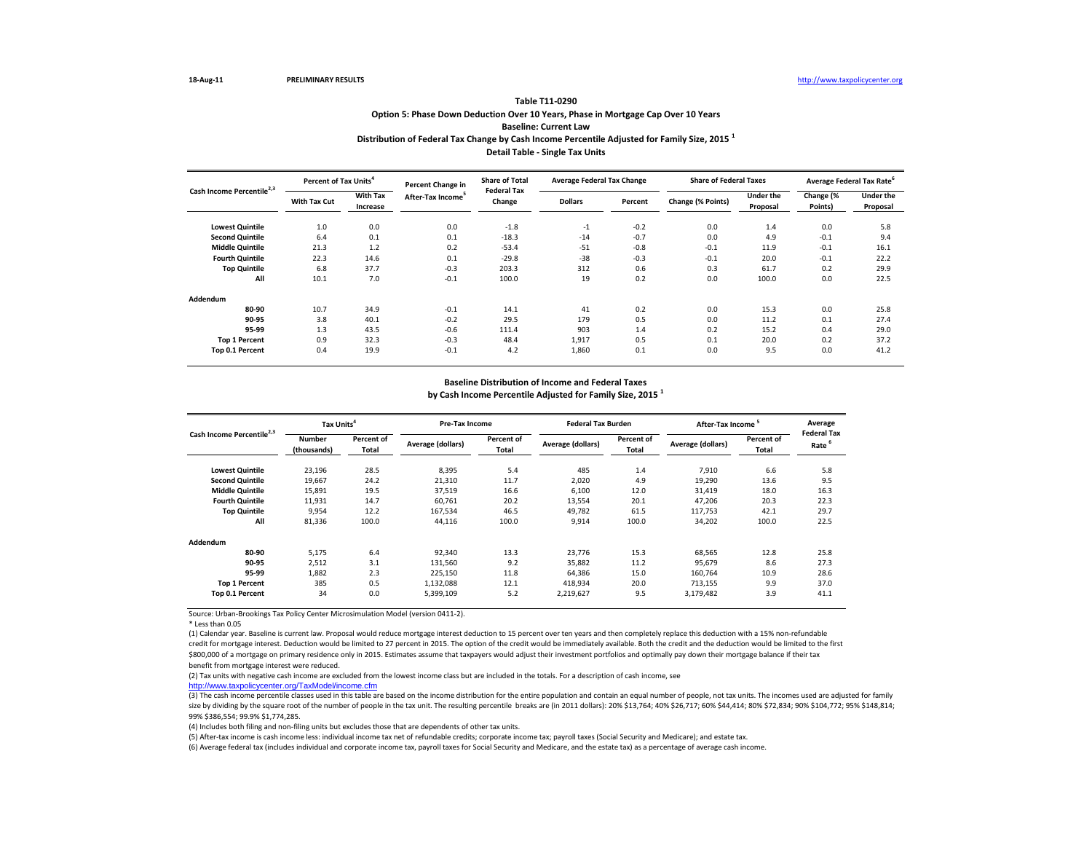\* Less than 0.05

 $(3)$  The cash income percentile classes used in this table are based on the income distribution for the entire population and contain an equal number of people, not tax units. The incomes used are adjusted for family size by dividing by the square root of the number of people in the tax unit. The resulting percentile breaks are (in 2011 dollars): 20% \$13,764; 40% \$26,717; 60% \$44,414; 80% \$72,834; 90% \$104,772; 95% \$148,814; 99% \$386,554; 99.9% \$1,774,285.

(1) Calendar year. Baseline is current law. Proposal would reduce mortgage interest deduction to 15 percent over ten years and then completely replace this deduction with a 15% non-refundable credit for mortgage interest. Deduction would be limited to 27 percent in 2015. The option of the credit would be immediately available. Both the credit and the deduction would be limited to the first \$800,000 of a mortgage on primary residence only in 2015. Estimates assume that taxpayers would adjust their investment portfolios and optimally pay down their mortgage balance if their tax benefit from mortgage interest were reduced.

|                                       | Percent of Tax Units <sup>4</sup> |                             | <b>Percent Change in</b>      | <b>Share of Total</b>        | <b>Average Federal Tax Change</b> |         | <b>Share of Federal Taxes</b> |                              | Average Federal Tax Rate <sup>6</sup> |                              |
|---------------------------------------|-----------------------------------|-----------------------------|-------------------------------|------------------------------|-----------------------------------|---------|-------------------------------|------------------------------|---------------------------------------|------------------------------|
| Cash Income Percentile <sup>2,3</sup> | <b>With Tax Cut</b>               | <b>With Tax</b><br>Increase | After-Tax Income <sup>5</sup> | <b>Federal Tax</b><br>Change | <b>Dollars</b>                    | Percent | Change (% Points)             | <b>Under the</b><br>Proposal | Change (%<br>Points)                  | <b>Under the</b><br>Proposal |
| <b>Lowest Quintile</b>                | 1.0                               | 0.0                         | 0.0                           | $-1.8$                       | $-1$                              | $-0.2$  | 0.0                           | 1.4                          | 0.0                                   | 5.8                          |
| <b>Second Quintile</b>                | 6.4                               | 0.1                         | 0.1                           | $-18.3$                      | $-14$                             | $-0.7$  | 0.0                           | 4.9                          | $-0.1$                                | 9.4                          |
| <b>Middle Quintile</b>                | 21.3                              | 1.2                         | 0.2                           | $-53.4$                      | $-51$                             | $-0.8$  | $-0.1$                        | 11.9                         | $-0.1$                                | 16.1                         |
| <b>Fourth Quintile</b>                | 22.3                              | 14.6                        | 0.1                           | $-29.8$                      | $-38$                             | $-0.3$  | $-0.1$                        | 20.0                         | $-0.1$                                | 22.2                         |
| <b>Top Quintile</b>                   | 6.8                               | 37.7                        | $-0.3$                        | 203.3                        | 312                               | 0.6     | 0.3                           | 61.7                         | 0.2                                   | 29.9                         |
| All                                   | 10.1                              | 7.0                         | $-0.1$                        | 100.0                        | 19                                | 0.2     | 0.0                           | 100.0                        | 0.0                                   | 22.5                         |
| <b>Addendum</b>                       |                                   |                             |                               |                              |                                   |         |                               |                              |                                       |                              |
| 80-90                                 | 10.7                              | 34.9                        | $-0.1$                        | 14.1                         | 41                                | 0.2     | 0.0                           | 15.3                         | 0.0                                   | 25.8                         |
| 90-95                                 | 3.8                               | 40.1                        | $-0.2$                        | 29.5                         | 179                               | 0.5     | 0.0                           | 11.2                         | 0.1                                   | 27.4                         |
| 95-99                                 | 1.3                               | 43.5                        | $-0.6$                        | 111.4                        | 903                               | 1.4     | 0.2                           | 15.2                         | 0.4                                   | 29.0                         |
| Top 1 Percent                         | 0.9                               | 32.3                        | $-0.3$                        | 48.4                         | 1,917                             | 0.5     | 0.1                           | 20.0                         | 0.2                                   | 37.2                         |
| Top 0.1 Percent                       | 0.4                               | 19.9                        | $-0.1$                        | 4.2                          | 1,860                             | 0.1     | 0.0                           | 9.5                          | 0.0                                   | 41.2                         |

|                                       | Tax Units <sup>4</sup>       |                                   | <b>Pre-Tax Income</b> |                     | <b>Federal Tax Burden</b> |                            | After-Tax Income  |                     | Average<br><b>Federal Tax</b> |
|---------------------------------------|------------------------------|-----------------------------------|-----------------------|---------------------|---------------------------|----------------------------|-------------------|---------------------|-------------------------------|
| Cash Income Percentile <sup>2,3</sup> | <b>Number</b><br>(thousands) | <b>Percent of</b><br><b>Total</b> | Average (dollars)     | Percent of<br>Total | Average (dollars)         | Percent of<br><b>Total</b> | Average (dollars) | Percent of<br>Total | Rate <sup>6</sup>             |
| <b>Lowest Quintile</b>                | 23,196                       | 28.5                              | 8,395                 | 5.4                 | 485                       | 1.4                        | 7,910             | 6.6                 | 5.8                           |
| <b>Second Quintile</b>                | 19,667                       | 24.2                              | 21,310                | 11.7                | 2,020                     | 4.9                        | 19,290            | 13.6                | 9.5                           |
| <b>Middle Quintile</b>                | 15,891                       | 19.5                              | 37,519                | 16.6                | 6,100                     | 12.0                       | 31,419            | 18.0                | 16.3                          |
| <b>Fourth Quintile</b>                | 11,931                       | 14.7                              | 60,761                | 20.2                | 13,554                    | 20.1                       | 47,206            | 20.3                | 22.3                          |
| <b>Top Quintile</b>                   | 9,954                        | 12.2                              | 167,534               | 46.5                | 49,782                    | 61.5                       | 117,753           | 42.1                | 29.7                          |
| All                                   | 81,336                       | 100.0                             | 44,116                | 100.0               | 9,914                     | 100.0                      | 34,202            | 100.0               | 22.5                          |
| Addendum                              |                              |                                   |                       |                     |                           |                            |                   |                     |                               |
| 80-90                                 | 5,175                        | 6.4                               | 92,340                | 13.3                | 23,776                    | 15.3                       | 68,565            | 12.8                | 25.8                          |
| 90-95                                 | 2,512                        | 3.1                               | 131,560               | 9.2                 | 35,882                    | 11.2                       | 95,679            | 8.6                 | 27.3                          |
| 95-99                                 | 1,882                        | 2.3                               | 225,150               | 11.8                | 64,386                    | 15.0                       | 160,764           | 10.9                | 28.6                          |
| <b>Top 1 Percent</b>                  | 385                          | 0.5                               | 1,132,088             | 12.1                | 418,934                   | 20.0                       | 713,155           | 9.9                 | 37.0                          |
| Top 0.1 Percent                       | 34                           | 0.0                               | 5,399,109             | 5.2                 | 2,219,627                 | 9.5                        | 3,179,482         | 3.9                 | 41.1                          |

(6) Average federal tax (includes individual and corporate income tax, payroll taxes for Social Security and Medicare, and the estate tax) as a percentage of average cash income. (5) After-tax income is cash income less: individual income tax net of refundable credits; corporate income tax; payroll taxes (Social Security and Medicare); and estate tax.

(2) Tax units with negative cash income are excluded from the lowest income class but are included in the totals. For a description of cash income, see [http://www.taxpolicycente](http://www.taxpolicycenter.org/TaxModel/income.cfm)r.org/TaxModel/income.cfm

## **Option 5: Phase Down Deduction Over 10 Years, Phase in Mortgage Cap Over 10 Years Distribution of Federal Tax Change by Cash Income Percentile Adjusted for Family Size, 2015 <sup>1</sup> Table T11-0290 Baseline: Current Law**

(4) Includes both filing and non-filing units but excludes those that are dependents of other tax units.

## **Baseline Distribution of Income and Federal Taxes**

**by Cash Income Percentile Adjusted for Family Size, 2015 <sup>1</sup>**

**Detail Table - Single Tax Units**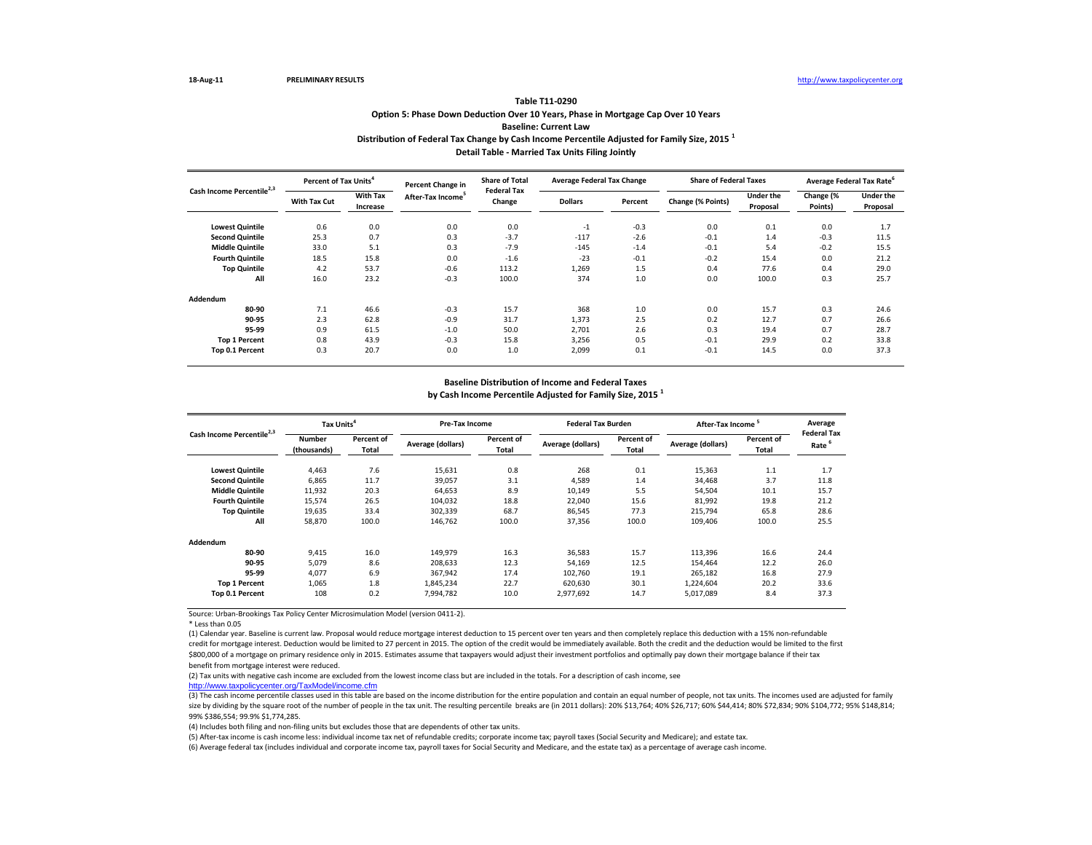\* Less than 0.05

 $(3)$  The cash income percentile classes used in this table are based on the income distribution for the entire population and contain an equal number of people, not tax units. The incomes used are adjusted for family size by dividing by the square root of the number of people in the tax unit. The resulting percentile breaks are (in 2011 dollars): 20% \$13,764; 40% \$26,717; 60% \$44,414; 80% \$72,834; 90% \$104,772; 95% \$148,814; 99% \$386,554; 99.9% \$1,774,285.

(1) Calendar year. Baseline is current law. Proposal would reduce mortgage interest deduction to 15 percent over ten years and then completely replace this deduction with a 15% non-refundable credit for mortgage interest. Deduction would be limited to 27 percent in 2015. The option of the credit would be immediately available. Both the credit and the deduction would be limited to the first \$800,000 of a mortgage on primary residence only in 2015. Estimates assume that taxpayers would adjust their investment portfolios and optimally pay down their mortgage balance if their tax benefit from mortgage interest were reduced.

|                                       | <b>Percent of Tax Units<sup>4</sup></b> |                             | <b>Percent Change in</b>      | <b>Share of Total</b>        | <b>Average Federal Tax Change</b> |         | <b>Share of Federal Taxes</b> |                              | Average Federal Tax Rate <sup>6</sup> |                              |
|---------------------------------------|-----------------------------------------|-----------------------------|-------------------------------|------------------------------|-----------------------------------|---------|-------------------------------|------------------------------|---------------------------------------|------------------------------|
| Cash Income Percentile <sup>2,3</sup> | <b>With Tax Cut</b>                     | <b>With Tax</b><br>Increase | After-Tax Income <sup>5</sup> | <b>Federal Tax</b><br>Change | <b>Dollars</b>                    | Percent | Change (% Points)             | <b>Under the</b><br>Proposal | Change (%<br>Points)                  | <b>Under the</b><br>Proposal |
| <b>Lowest Quintile</b>                | 0.6                                     | 0.0                         | 0.0                           | 0.0                          | $-1$                              | $-0.3$  | 0.0                           | 0.1                          | 0.0                                   | 1.7                          |
| <b>Second Quintile</b>                | 25.3                                    | 0.7                         | 0.3                           | $-3.7$                       | $-117$                            | $-2.6$  | $-0.1$                        | 1.4                          | $-0.3$                                | 11.5                         |
| <b>Middle Quintile</b>                | 33.0                                    | 5.1                         | 0.3                           | $-7.9$                       | $-145$                            | $-1.4$  | $-0.1$                        | 5.4                          | $-0.2$                                | 15.5                         |
| <b>Fourth Quintile</b>                | 18.5                                    | 15.8                        | 0.0                           | $-1.6$                       | $-23$                             | $-0.1$  | $-0.2$                        | 15.4                         | 0.0                                   | 21.2                         |
| <b>Top Quintile</b>                   | 4.2                                     | 53.7                        | $-0.6$                        | 113.2                        | 1,269                             | 1.5     | 0.4                           | 77.6                         | 0.4                                   | 29.0                         |
| All                                   | 16.0                                    | 23.2                        | $-0.3$                        | 100.0                        | 374                               | 1.0     | 0.0                           | 100.0                        | 0.3                                   | 25.7                         |
| Addendum                              |                                         |                             |                               |                              |                                   |         |                               |                              |                                       |                              |
| 80-90                                 | 7.1                                     | 46.6                        | $-0.3$                        | 15.7                         | 368                               | 1.0     | 0.0                           | 15.7                         | 0.3                                   | 24.6                         |
| 90-95                                 | 2.3                                     | 62.8                        | $-0.9$                        | 31.7                         | 1,373                             | 2.5     | 0.2                           | 12.7                         | 0.7                                   | 26.6                         |
| 95-99                                 | 0.9                                     | 61.5                        | $-1.0$                        | 50.0                         | 2,701                             | 2.6     | 0.3                           | 19.4                         | 0.7                                   | 28.7                         |
| <b>Top 1 Percent</b>                  | 0.8                                     | 43.9                        | $-0.3$                        | 15.8                         | 3,256                             | 0.5     | $-0.1$                        | 29.9                         | 0.2                                   | 33.8                         |
| Top 0.1 Percent                       | 0.3                                     | 20.7                        | 0.0                           | 1.0                          | 2,099                             | 0.1     | $-0.1$                        | 14.5                         | 0.0                                   | 37.3                         |

|                                       | Tax Units <sup>4</sup>       |                            | <b>Pre-Tax Income</b>    |                            | <b>Federal Tax Burden</b> |                            | After-Tax Income <sup>5</sup> |                     | Average                                 |
|---------------------------------------|------------------------------|----------------------------|--------------------------|----------------------------|---------------------------|----------------------------|-------------------------------|---------------------|-----------------------------------------|
| Cash Income Percentile <sup>2,3</sup> | <b>Number</b><br>(thousands) | Percent of<br><b>Total</b> | <b>Average (dollars)</b> | Percent of<br><b>Total</b> | Average (dollars)         | Percent of<br><b>Total</b> | Average (dollars)             | Percent of<br>Total | <b>Federal Tax</b><br>Rate <sup>6</sup> |
| <b>Lowest Quintile</b>                | 4,463                        | 7.6                        | 15,631                   | 0.8                        | 268                       | 0.1                        | 15,363                        | 1.1                 | 1.7                                     |
| <b>Second Quintile</b>                | 6,865                        | 11.7                       | 39,057                   | 3.1                        | 4,589                     | 1.4                        | 34,468                        | 3.7                 | 11.8                                    |
| <b>Middle Quintile</b>                | 11,932                       | 20.3                       | 64,653                   | 8.9                        | 10,149                    | 5.5                        | 54,504                        | $10.1\,$            | 15.7                                    |
| <b>Fourth Quintile</b>                | 15,574                       | 26.5                       | 104,032                  | 18.8                       | 22,040                    | 15.6                       | 81,992                        | 19.8                | 21.2                                    |
| <b>Top Quintile</b>                   | 19,635                       | 33.4                       | 302,339                  | 68.7                       | 86,545                    | 77.3                       | 215,794                       | 65.8                | 28.6                                    |
| All                                   | 58,870                       | 100.0                      | 146,762                  | 100.0                      | 37,356                    | 100.0                      | 109,406                       | 100.0               | 25.5                                    |
| Addendum                              |                              |                            |                          |                            |                           |                            |                               |                     |                                         |
| 80-90                                 | 9,415                        | 16.0                       | 149,979                  | 16.3                       | 36,583                    | 15.7                       | 113,396                       | 16.6                | 24.4                                    |
| 90-95                                 | 5,079                        | 8.6                        | 208,633                  | 12.3                       | 54,169                    | 12.5                       | 154,464                       | 12.2                | 26.0                                    |
| 95-99                                 | 4,077                        | 6.9                        | 367,942                  | 17.4                       | 102,760                   | 19.1                       | 265,182                       | 16.8                | 27.9                                    |
| <b>Top 1 Percent</b>                  | 1,065                        | 1.8                        | 1,845,234                | 22.7                       | 620,630                   | 30.1                       | 1,224,604                     | 20.2                | 33.6                                    |
| Top 0.1 Percent                       | 108                          | 0.2                        | 7,994,782                | 10.0                       | 2,977,692                 | 14.7                       | 5,017,089                     | 8.4                 | 37.3                                    |

(6) Average federal tax (includes individual and corporate income tax, payroll taxes for Social Security and Medicare, and the estate tax) as a percentage of average cash income. (5) After-tax income is cash income less: individual income tax net of refundable credits; corporate income tax; payroll taxes (Social Security and Medicare); and estate tax.

(2) Tax units with negative cash income are excluded from the lowest income class but are included in the totals. For a description of cash income, see [http://www.taxpolicycente](http://www.taxpolicycenter.org/TaxModel/income.cfm)r.org/TaxModel/income.cfm

# **Option 5: Phase Down Deduction Over 10 Years, Phase in Mortgage Cap Over 10 Years Table T11-0290 Baseline: Current Law**

(4) Includes both filing and non-filing units but excludes those that are dependents of other tax units.

## **Baseline Distribution of Income and Federal Taxes**

**by Cash Income Percentile Adjusted for Family Size, 2015 <sup>1</sup>**

**Distribution of Federal Tax Change by Cash Income Percentile Adjusted for Family Size, 2015 <sup>1</sup> Detail Table - Married Tax Units Filing Jointly**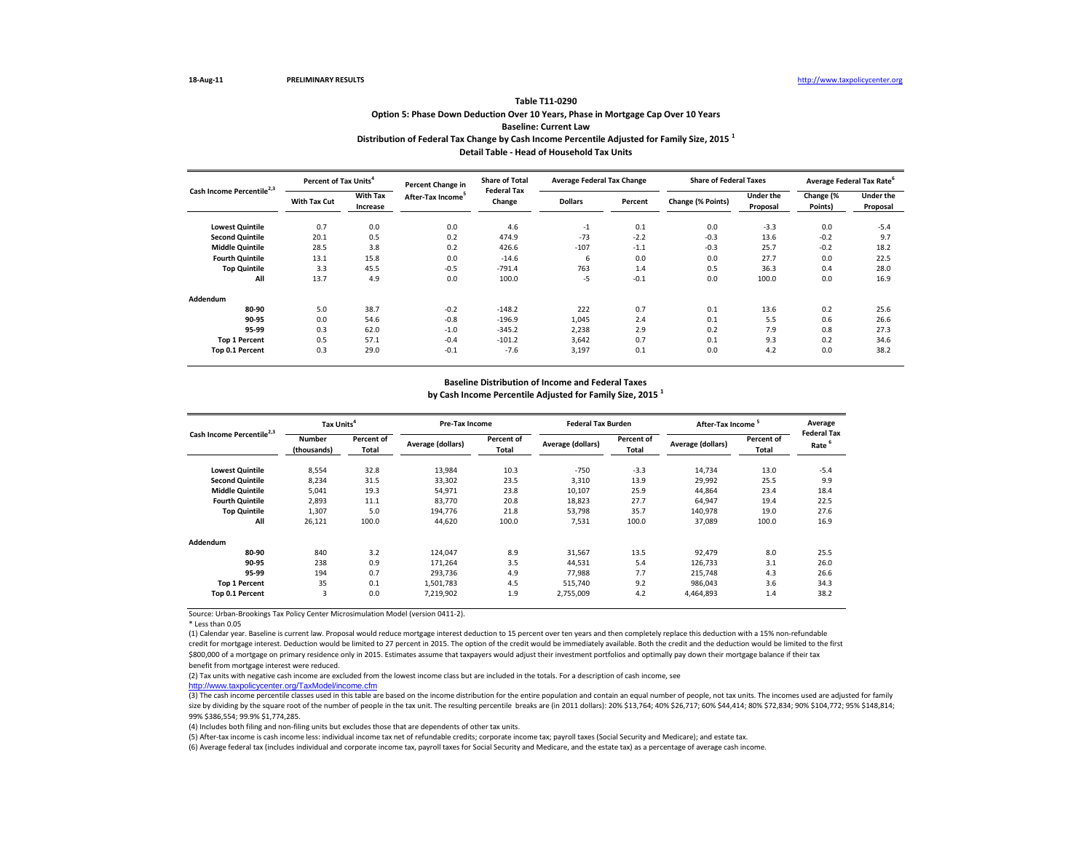\* Less than 0.05

 $(3)$  The cash income percentile classes used in this table are based on the income distribution for the entire population and contain an equal number of people, not tax units. The incomes used are adjusted for family size by dividing by the square root of the number of people in the tax unit. The resulting percentile breaks are (in 2011 dollars): 20% \$13,764; 40% \$26,717; 60% \$44,414; 80% \$72,834; 90% \$104,772; 95% \$148,814; 99% \$386,554; 99.9% \$1,774,285.

(1) Calendar year. Baseline is current law. Proposal would reduce mortgage interest deduction to 15 percent over ten years and then completely replace this deduction with a 15% non-refundable credit for mortgage interest. Deduction would be limited to 27 percent in 2015. The option of the credit would be immediately available. Both the credit and the deduction would be limited to the first \$800,000 of a mortgage on primary residence only in 2015. Estimates assume that taxpayers would adjust their investment portfolios and optimally pay down their mortgage balance if their tax benefit from mortgage interest were reduced.

|                                       | Percent of Tax Units <sup>4</sup> |                             | <b>Percent Change in</b> | <b>Share of Total</b>        | <b>Average Federal Tax Change</b> |         | <b>Share of Federal Taxes</b> |                              | Average Federal Tax Rate <sup>6</sup> |                              |
|---------------------------------------|-----------------------------------|-----------------------------|--------------------------|------------------------------|-----------------------------------|---------|-------------------------------|------------------------------|---------------------------------------|------------------------------|
| Cash Income Percentile <sup>2,3</sup> | <b>With Tax Cut</b>               | <b>With Tax</b><br>Increase | After-Tax Income         | <b>Federal Tax</b><br>Change | <b>Dollars</b>                    | Percent | Change (% Points)             | <b>Under the</b><br>Proposal | Change (%<br>Points)                  | <b>Under the</b><br>Proposal |
| <b>Lowest Quintile</b>                | 0.7                               | 0.0                         | 0.0                      | 4.6                          | $-1$                              | 0.1     | 0.0                           | $-3.3$                       | 0.0                                   | $-5.4$                       |
| <b>Second Quintile</b>                | 20.1                              | 0.5                         | 0.2                      | 474.9                        | $-73$                             | $-2.2$  | $-0.3$                        | 13.6                         | $-0.2$                                | 9.7                          |
| <b>Middle Quintile</b>                | 28.5                              | 3.8                         | 0.2                      | 426.6                        | $-107$                            | $-1.1$  | $-0.3$                        | 25.7                         | $-0.2$                                | 18.2                         |
| <b>Fourth Quintile</b>                | 13.1                              | 15.8                        | 0.0                      | $-14.6$                      | 6                                 | 0.0     | 0.0                           | 27.7                         | 0.0                                   | 22.5                         |
| <b>Top Quintile</b>                   | 3.3                               | 45.5                        | $-0.5$                   | $-791.4$                     | 763                               | 1.4     | 0.5                           | 36.3                         | 0.4                                   | 28.0                         |
| All                                   | 13.7                              | 4.9                         | 0.0                      | 100.0                        | $-5$                              | $-0.1$  | 0.0                           | 100.0                        | 0.0                                   | 16.9                         |
| <b>Addendum</b>                       |                                   |                             |                          |                              |                                   |         |                               |                              |                                       |                              |
| 80-90                                 | 5.0                               | 38.7                        | $-0.2$                   | $-148.2$                     | 222                               | 0.7     | 0.1                           | 13.6                         | 0.2                                   | 25.6                         |
| 90-95                                 | 0.0                               | 54.6                        | $-0.8$                   | $-196.9$                     | 1,045                             | 2.4     | 0.1                           | 5.5                          | 0.6                                   | 26.6                         |
| 95-99                                 | 0.3                               | 62.0                        | $-1.0$                   | $-345.2$                     | 2,238                             | 2.9     | 0.2                           | 7.9                          | 0.8                                   | 27.3                         |
| Top 1 Percent                         | 0.5                               | 57.1                        | $-0.4$                   | $-101.2$                     | 3,642                             | 0.7     | 0.1                           | 9.3                          | 0.2                                   | 34.6                         |
| Top 0.1 Percent                       | 0.3                               | 29.0                        | $-0.1$                   | $-7.6$                       | 3,197                             | 0.1     | 0.0                           | 4.2                          | 0.0                                   | 38.2                         |

|                                       | Tax Units <sup>4</sup>       |                                   |                   | <b>Pre-Tax Income</b>      |                   | <b>Federal Tax Burden</b>  | After-Tax Income  |                            | Average                                 |
|---------------------------------------|------------------------------|-----------------------------------|-------------------|----------------------------|-------------------|----------------------------|-------------------|----------------------------|-----------------------------------------|
| Cash Income Percentile <sup>2,3</sup> | <b>Number</b><br>(thousands) | <b>Percent of</b><br><b>Total</b> | Average (dollars) | Percent of<br><b>Total</b> | Average (dollars) | Percent of<br><b>Total</b> | Average (dollars) | Percent of<br><b>Total</b> | <b>Federal Tax</b><br>Rate <sup>6</sup> |
| <b>Lowest Quintile</b>                | 8,554                        | 32.8                              | 13,984            | 10.3                       | $-750$            | $-3.3$                     | 14,734            | 13.0                       | $-5.4$                                  |
| <b>Second Quintile</b>                | 8,234                        | 31.5                              | 33,302            | 23.5                       | 3,310             | 13.9                       | 29,992            | 25.5                       | 9.9                                     |
| <b>Middle Quintile</b>                | 5,041                        | 19.3                              | 54,971            | 23.8                       | 10,107            | 25.9                       | 44,864            | 23.4                       | 18.4                                    |
| <b>Fourth Quintile</b>                | 2,893                        | 11.1                              | 83,770            | 20.8                       | 18,823            | 27.7                       | 64,947            | 19.4                       | 22.5                                    |
| <b>Top Quintile</b>                   | 1,307                        | 5.0                               | 194,776           | 21.8                       | 53,798            | 35.7                       | 140,978           | 19.0                       | 27.6                                    |
| All                                   | 26,121                       | 100.0                             | 44,620            | 100.0                      | 7,531             | 100.0                      | 37,089            | 100.0                      | 16.9                                    |
| Addendum                              |                              |                                   |                   |                            |                   |                            |                   |                            |                                         |
| 80-90                                 | 840                          | 3.2                               | 124,047           | 8.9                        | 31,567            | 13.5                       | 92,479            | 8.0                        | 25.5                                    |
| 90-95                                 | 238                          | 0.9                               | 171,264           | 3.5                        | 44,531            | 5.4                        | 126,733           | 3.1                        | 26.0                                    |
| 95-99                                 | 194                          | 0.7                               | 293,736           | 4.9                        | 77,988            | 7.7                        | 215,748           | 4.3                        | 26.6                                    |
| <b>Top 1 Percent</b>                  | 35                           | 0.1                               | 1,501,783         | 4.5                        | 515,740           | 9.2                        | 986,043           | 3.6                        | 34.3                                    |
| <b>Top 0.1 Percent</b>                | 3                            | 0.0                               | 7,219,902         | 1.9                        | 2,755,009         | 4.2                        | 4,464,893         | 1.4                        | 38.2                                    |

(6) Average federal tax (includes individual and corporate income tax, payroll taxes for Social Security and Medicare, and the estate tax) as a percentage of average cash income. (5) After-tax income is cash income less: individual income tax net of refundable credits; corporate income tax; payroll taxes (Social Security and Medicare); and estate tax.

(2) Tax units with negative cash income are excluded from the lowest income class but are included in the totals. For a description of cash income, see [http://www.taxpolicycente](http://www.taxpolicycenter.org/TaxModel/income.cfm)r.org/TaxModel/income.cfm

## **Option 5: Phase Down Deduction Over 10 Years, Phase in Mortgage Cap Over 10 Years Distribution of Federal Tax Change by Cash Income Percentile Adjusted for Family Size, 2015 <sup>1</sup> Table T11-0290 Baseline: Current Law**

(4) Includes both filing and non-filing units but excludes those that are dependents of other tax units.

### **Baseline Distribution of Income and Federal Taxes**

**by Cash Income Percentile Adjusted for Family Size, 2015 <sup>1</sup>**

**Detail Table - Head of Household Tax Units**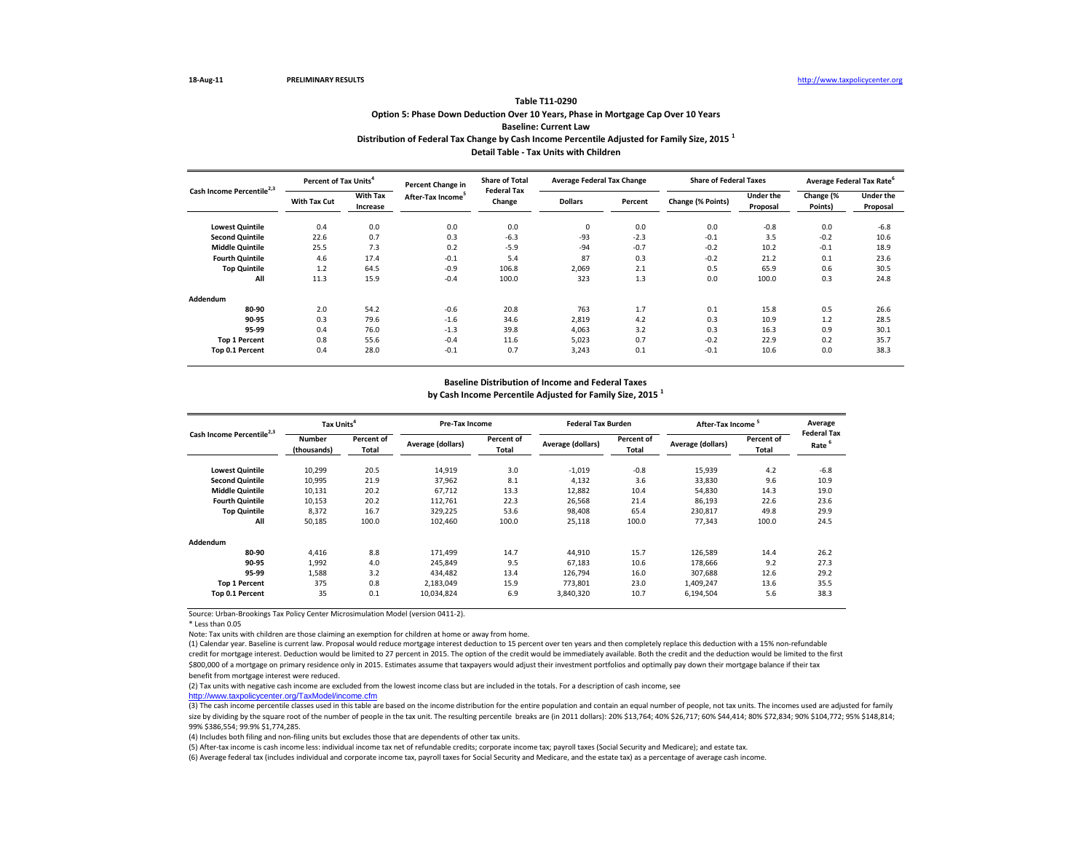\* Less than 0.05

Note: Tax units with children are those claiming an exemption for children at home or away from home.

(3) The cash income percentile classes used in this table are based on the income distribution for the entire population and contain an equal number of people, not tax units. The incomes used are adjusted for family size by dividing by the square root of the number of people in the tax unit. The resulting percentile breaks are (in 2011 dollars): 20% \$13,764; 40% \$26,717; 60% \$44,414; 80% \$72,834; 90% \$104,772; 95% \$148,814; 99% \$386,554; 99.9% \$1,774,285.

|                                       | <b>Percent of Tax Units</b> <sup>4</sup> |                             | <b>Percent Change in</b>      | <b>Share of Total</b>        | <b>Average Federal Tax Change</b> |         | <b>Share of Federal Taxes</b> |                              | Average Federal Tax Rate <sup>6</sup> |                              |
|---------------------------------------|------------------------------------------|-----------------------------|-------------------------------|------------------------------|-----------------------------------|---------|-------------------------------|------------------------------|---------------------------------------|------------------------------|
| Cash Income Percentile <sup>2,3</sup> | <b>With Tax Cut</b>                      | <b>With Tax</b><br>Increase | After-Tax Income <sup>5</sup> | <b>Federal Tax</b><br>Change | <b>Dollars</b>                    | Percent | Change (% Points)             | <b>Under the</b><br>Proposal | Change (%<br>Points)                  | <b>Under the</b><br>Proposal |
| <b>Lowest Quintile</b>                | 0.4                                      | 0.0                         | 0.0                           | 0.0                          | $\mathbf 0$                       | 0.0     | 0.0                           | $-0.8$                       | 0.0                                   | $-6.8$                       |
| <b>Second Quintile</b>                | 22.6                                     | 0.7                         | 0.3                           | $-6.3$                       | $-93$                             | $-2.3$  | $-0.1$                        | 3.5                          | $-0.2$                                | 10.6                         |
| <b>Middle Quintile</b>                | 25.5                                     | 7.3                         | 0.2                           | $-5.9$                       | -94                               | $-0.7$  | $-0.2$                        | 10.2                         | $-0.1$                                | 18.9                         |
| <b>Fourth Quintile</b>                | 4.6                                      | 17.4                        | $-0.1$                        | 5.4                          | 87                                | 0.3     | $-0.2$                        | 21.2                         | 0.1                                   | 23.6                         |
| <b>Top Quintile</b>                   | 1.2                                      | 64.5                        | $-0.9$                        | 106.8                        | 2,069                             | 2.1     | 0.5                           | 65.9                         | 0.6                                   | 30.5                         |
| All                                   | 11.3                                     | 15.9                        | $-0.4$                        | 100.0                        | 323                               | 1.3     | 0.0                           | 100.0                        | 0.3                                   | 24.8                         |
| Addendum                              |                                          |                             |                               |                              |                                   |         |                               |                              |                                       |                              |
| 80-90                                 | 2.0                                      | 54.2                        | $-0.6$                        | 20.8                         | 763                               | 1.7     | 0.1                           | 15.8                         | 0.5                                   | 26.6                         |
| 90-95                                 | 0.3                                      | 79.6                        | $-1.6$                        | 34.6                         | 2,819                             | 4.2     | 0.3                           | 10.9                         | 1.2                                   | 28.5                         |
| 95-99                                 | 0.4                                      | 76.0                        | $-1.3$                        | 39.8                         | 4,063                             | 3.2     | 0.3                           | 16.3                         | 0.9                                   | 30.1                         |
| <b>Top 1 Percent</b>                  | 0.8                                      | 55.6                        | $-0.4$                        | 11.6                         | 5,023                             | 0.7     | $-0.2$                        | 22.9                         | 0.2                                   | 35.7                         |
| Top 0.1 Percent                       | 0.4                                      | 28.0                        | $-0.1$                        | 0.7                          | 3,243                             | 0.1     | $-0.1$                        | 10.6                         | 0.0                                   | 38.3                         |

(1) Calendar year. Baseline is current law. Proposal would reduce mortgage interest deduction to 15 percent over ten years and then completely replace this deduction with a 15% non-refundable credit for mortgage interest. Deduction would be limited to 27 percent in 2015. The option of the credit would be immediately available. Both the credit and the deduction would be limited to the first \$800,000 of a mortgage on primary residence only in 2015. Estimates assume that taxpayers would adjust their investment portfolios and optimally pay down their mortgage balance if their tax benefit from mortgage interest were reduced.

| Cash Income Percentile <sup>2,3</sup> | Tax Units <sup>4</sup>       |                                   | <b>Pre-Tax Income</b> |                            | <b>Federal Tax Burden</b> |                            | After-Tax Income <sup>5</sup> |                            | Average                                 |
|---------------------------------------|------------------------------|-----------------------------------|-----------------------|----------------------------|---------------------------|----------------------------|-------------------------------|----------------------------|-----------------------------------------|
|                                       | <b>Number</b><br>(thousands) | <b>Percent of</b><br><b>Total</b> | Average (dollars)     | Percent of<br><b>Total</b> | Average (dollars)         | Percent of<br><b>Total</b> | Average (dollars)             | Percent of<br><b>Total</b> | <b>Federal Tax</b><br>Rate <sup>6</sup> |
| <b>Lowest Quintile</b>                | 10,299                       | 20.5                              | 14,919                | 3.0                        | $-1,019$                  | $-0.8$                     | 15,939                        | 4.2                        | $-6.8$                                  |
| <b>Second Quintile</b>                | 10,995                       | 21.9                              | 37,962                | 8.1                        | 4,132                     | 3.6                        | 33,830                        | 9.6                        | 10.9                                    |
| <b>Middle Quintile</b>                | 10,131                       | 20.2                              | 67,712                | 13.3                       | 12,882                    | 10.4                       | 54,830                        | 14.3                       | 19.0                                    |
| <b>Fourth Quintile</b>                | 10,153                       | 20.2                              | 112,761               | 22.3                       | 26,568                    | 21.4                       | 86,193                        | 22.6                       | 23.6                                    |
| <b>Top Quintile</b>                   | 8,372                        | 16.7                              | 329,225               | 53.6                       | 98,408                    | 65.4                       | 230,817                       | 49.8                       | 29.9                                    |
| All                                   | 50,185                       | 100.0                             | 102,460               | 100.0                      | 25,118                    | 100.0                      | 77,343                        | 100.0                      | 24.5                                    |
| Addendum                              |                              |                                   |                       |                            |                           |                            |                               |                            |                                         |
| 80-90                                 | 4,416                        | 8.8                               | 171,499               | 14.7                       | 44,910                    | 15.7                       | 126,589                       | 14.4                       | 26.2                                    |
| 90-95                                 | 1,992                        | 4.0                               | 245,849               | 9.5                        | 67,183                    | 10.6                       | 178,666                       | 9.2                        | 27.3                                    |
| 95-99                                 | 1,588                        | 3.2                               | 434,482               | 13.4                       | 126,794                   | 16.0                       | 307,688                       | 12.6                       | 29.2                                    |
| <b>Top 1 Percent</b>                  | 375                          | 0.8                               | 2,183,049             | 15.9                       | 773,801                   | 23.0                       | 1,409,247                     | 13.6                       | 35.5                                    |
| Top 0.1 Percent                       | 35                           | 0.1                               | 10,034,824            | 6.9                        | 3,840,320                 | 10.7                       | 6,194,504                     | 5.6                        | 38.3                                    |

(6) Average federal tax (includes individual and corporate income tax, payroll taxes for Social Security and Medicare, and the estate tax) as a percentage of average cash income. (5) After-tax income is cash income less: individual income tax net of refundable credits; corporate income tax; payroll taxes (Social Security and Medicare); and estate tax.

(2) Tax units with negative cash income are excluded from the lowest income class but are included in the totals. For a description of cash income, see [http://www.taxpolicycente](http://www.taxpolicycenter.org/TaxModel/income.cfm)r.org/TaxModel/income.cfm

## **Option 5: Phase Down Deduction Over 10 Years, Phase in Mortgage Cap Over 10 Years Distribution of Federal Tax Change by Cash Income Percentile Adjusted for Family Size, 2015 <sup>1</sup> Table T11-0290 Baseline: Current Law**

(4) Includes both filing and non-filing units but excludes those that are dependents of other tax units.

### **Baseline Distribution of Income and Federal Taxes**

**by Cash Income Percentile Adjusted for Family Size, 2015 <sup>1</sup>**

**Detail Table - Tax Units with Children**